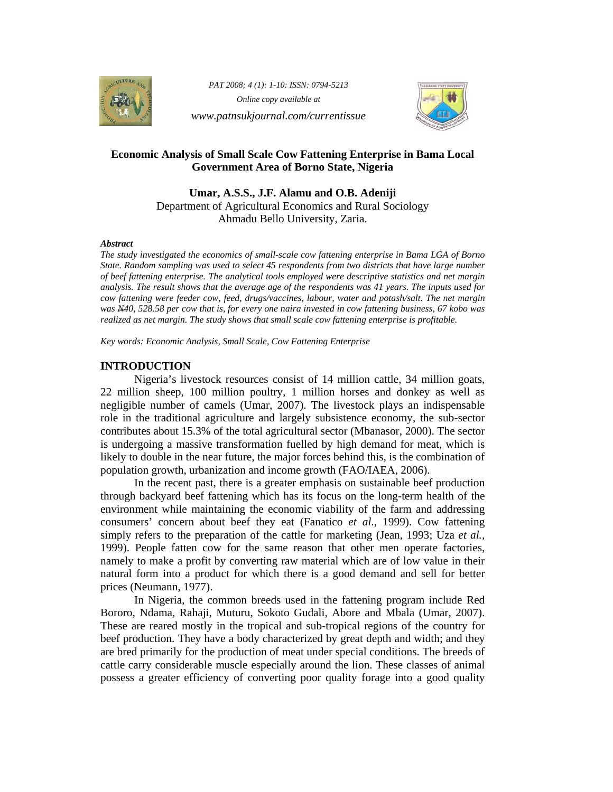

*PAT 2008; 4 (1): 1-10: ISSN: 0794-5213 Online copy available at www.patnsukjournal.com/currentissue* 



# **Economic Analysis of Small Scale Cow Fattening Enterprise in Bama Local Government Area of Borno State, Nigeria**

**Umar, A.S.S., J.F. Alamu and O.B. Adeniji**  Department of Agricultural Economics and Rural Sociology Ahmadu Bello University, Zaria.

#### *Abstract*

*The study investigated the economics of small-scale cow fattening enterprise in Bama LGA of Borno State. Random sampling was used to select 45 respondents from two districts that have large number of beef fattening enterprise. The analytical tools employed were descriptive statistics and net margin analysis. The result shows that the average age of the respondents was 41 years. The inputs used for cow fattening were feeder cow, feed, drugs/vaccines, labour, water and potash/salt. The net margin was N40, 528.58 per cow that is, for every one naira invested in cow fattening business, 67 kobo was realized as net margin. The study shows that small scale cow fattening enterprise is profitable.* 

*Key words: Economic Analysis, Small Scale, Cow Fattening Enterprise* 

## **INTRODUCTION**

 Nigeria's livestock resources consist of 14 million cattle, 34 million goats, 22 million sheep, 100 million poultry, 1 million horses and donkey as well as negligible number of camels (Umar, 2007). The livestock plays an indispensable role in the traditional agriculture and largely subsistence economy, the sub-sector contributes about 15.3% of the total agricultural sector (Mbanasor, 2000). The sector is undergoing a massive transformation fuelled by high demand for meat, which is likely to double in the near future, the major forces behind this, is the combination of population growth, urbanization and income growth (FAO/IAEA, 2006).

 In the recent past, there is a greater emphasis on sustainable beef production through backyard beef fattening which has its focus on the long-term health of the environment while maintaining the economic viability of the farm and addressing consumers' concern about beef they eat (Fanatico *et al*., 1999). Cow fattening simply refers to the preparation of the cattle for marketing (Jean, 1993; Uza *et al.,* 1999). People fatten cow for the same reason that other men operate factories, namely to make a profit by converting raw material which are of low value in their natural form into a product for which there is a good demand and sell for better prices (Neumann, 1977).

 In Nigeria, the common breeds used in the fattening program include Red Bororo, Ndama, Rahaji, Muturu, Sokoto Gudali, Abore and Mbala (Umar, 2007). These are reared mostly in the tropical and sub-tropical regions of the country for beef production. They have a body characterized by great depth and width; and they are bred primarily for the production of meat under special conditions. The breeds of cattle carry considerable muscle especially around the lion. These classes of animal possess a greater efficiency of converting poor quality forage into a good quality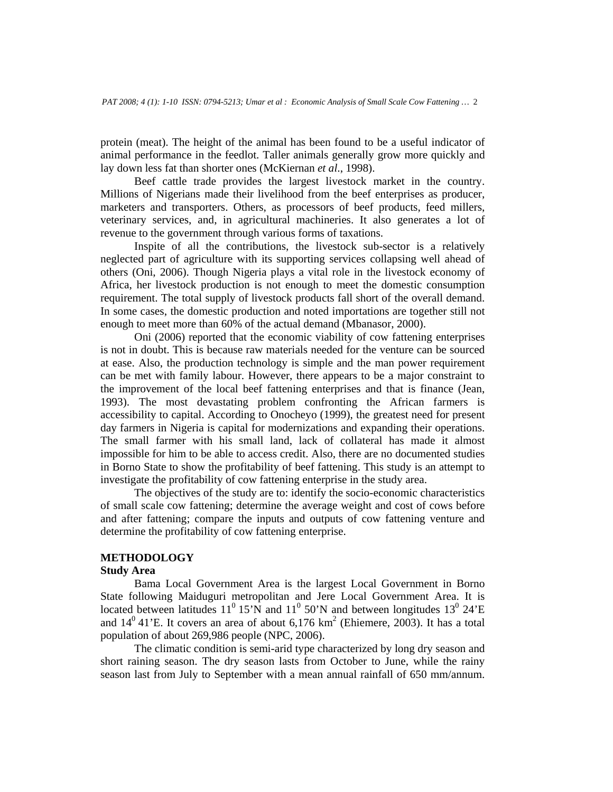protein (meat). The height of the animal has been found to be a useful indicator of animal performance in the feedlot. Taller animals generally grow more quickly and lay down less fat than shorter ones (McKiernan *et al*., 1998).

 Beef cattle trade provides the largest livestock market in the country. Millions of Nigerians made their livelihood from the beef enterprises as producer, marketers and transporters. Others, as processors of beef products, feed millers, veterinary services, and, in agricultural machineries. It also generates a lot of revenue to the government through various forms of taxations.

 Inspite of all the contributions, the livestock sub-sector is a relatively neglected part of agriculture with its supporting services collapsing well ahead of others (Oni, 2006). Though Nigeria plays a vital role in the livestock economy of Africa, her livestock production is not enough to meet the domestic consumption requirement. The total supply of livestock products fall short of the overall demand. In some cases, the domestic production and noted importations are together still not enough to meet more than 60% of the actual demand (Mbanasor, 2000).

 Oni (2006) reported that the economic viability of cow fattening enterprises is not in doubt. This is because raw materials needed for the venture can be sourced at ease. Also, the production technology is simple and the man power requirement can be met with family labour. However, there appears to be a major constraint to the improvement of the local beef fattening enterprises and that is finance (Jean, 1993). The most devastating problem confronting the African farmers is accessibility to capital. According to Onocheyo (1999), the greatest need for present day farmers in Nigeria is capital for modernizations and expanding their operations. The small farmer with his small land, lack of collateral has made it almost impossible for him to be able to access credit. Also, there are no documented studies in Borno State to show the profitability of beef fattening. This study is an attempt to investigate the profitability of cow fattening enterprise in the study area.

The objectives of the study are to: identify the socio-economic characteristics of small scale cow fattening; determine the average weight and cost of cows before and after fattening; compare the inputs and outputs of cow fattening venture and determine the profitability of cow fattening enterprise.

## **METHODOLOGY**

# **Study Area**

 Bama Local Government Area is the largest Local Government in Borno State following Maiduguri metropolitan and Jere Local Government Area. It is located between latitudes  $11^0 15^1$  and  $11^0 50^1$  and between longitudes  $13^0 24^1$  E and  $14^{\circ}$  41'E. It covers an area of about 6,176 km<sup>2</sup> (Ehiemere, 2003). It has a total population of about 269,986 people (NPC, 2006).

 The climatic condition is semi-arid type characterized by long dry season and short raining season. The dry season lasts from October to June, while the rainy season last from July to September with a mean annual rainfall of 650 mm/annum.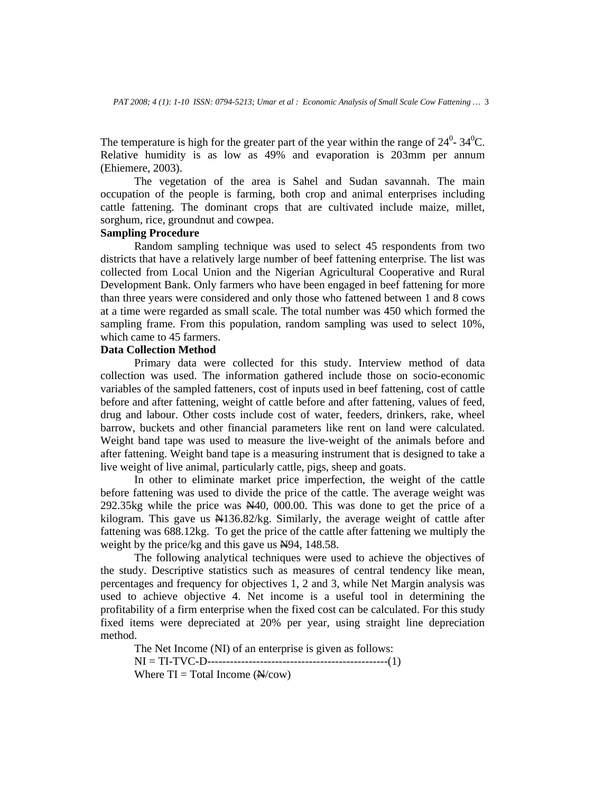The temperature is high for the greater part of the year within the range of  $24^0$ -  $34^0$ C. Relative humidity is as low as 49% and evaporation is 203mm per annum (Ehiemere, 2003).

 The vegetation of the area is Sahel and Sudan savannah. The main occupation of the people is farming, both crop and animal enterprises including cattle fattening. The dominant crops that are cultivated include maize, millet, sorghum, rice, groundnut and cowpea.

# **Sampling Procedure**

 Random sampling technique was used to select 45 respondents from two districts that have a relatively large number of beef fattening enterprise. The list was collected from Local Union and the Nigerian Agricultural Cooperative and Rural Development Bank. Only farmers who have been engaged in beef fattening for more than three years were considered and only those who fattened between 1 and 8 cows at a time were regarded as small scale. The total number was 450 which formed the sampling frame. From this population, random sampling was used to select 10%, which came to 45 farmers.

## **Data Collection Method**

 Primary data were collected for this study. Interview method of data collection was used. The information gathered include those on socio-economic variables of the sampled fatteners, cost of inputs used in beef fattening, cost of cattle before and after fattening, weight of cattle before and after fattening, values of feed, drug and labour. Other costs include cost of water, feeders, drinkers, rake, wheel barrow, buckets and other financial parameters like rent on land were calculated. Weight band tape was used to measure the live-weight of the animals before and after fattening. Weight band tape is a measuring instrument that is designed to take a live weight of live animal, particularly cattle, pigs, sheep and goats.

 In other to eliminate market price imperfection, the weight of the cattle before fattening was used to divide the price of the cattle. The average weight was 292.35kg while the price was  $\frac{N}{40}$ , 000.00. This was done to get the price of a kilogram. This gave us  $\frac{N}{36.82}{\text{kg}}$ . Similarly, the average weight of cattle after fattening was 688.12kg. To get the price of the cattle after fattening we multiply the weight by the price/kg and this gave us  $\frac{N}{94}$ , 148.58.

 The following analytical techniques were used to achieve the objectives of the study. Descriptive statistics such as measures of central tendency like mean, percentages and frequency for objectives 1, 2 and 3, while Net Margin analysis was used to achieve objective 4. Net income is a useful tool in determining the profitability of a firm enterprise when the fixed cost can be calculated. For this study fixed items were depreciated at 20% per year, using straight line depreciation method.

 The Net Income (NI) of an enterprise is given as follows: NI = TI-TVC-D------------------------------------------------(1) Where  $TI = Total Income (A/cow)$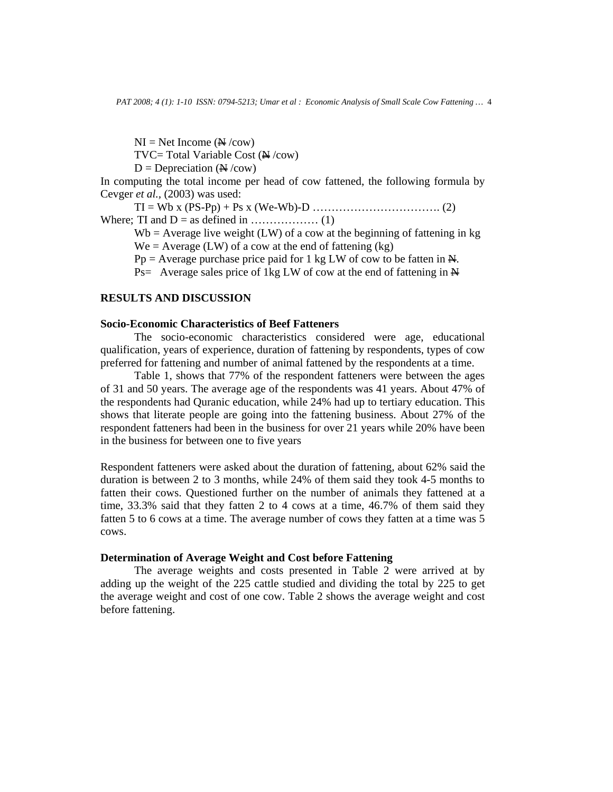$NI = Net Income (N / cow)$ TVC= Total Variable Cost  $(\frac{N}{N})$  (cow)  $D = Depreciation (N / cov)$ 

In computing the total income per head of cow fattened, the following formula by Cevger *et al.,* (2003) was used:

 TI = Wb x (PS-Pp) + Ps x (We-Wb)-D ……………………………. (2) Where; TI and D = as defined in ……………… (1)

 $Wb$  = Average live weight (LW) of a cow at the beginning of fattening in kg  $We = Average (LW)$  of a cow at the end of fattening  $(kg)$ 

 $Pp = A$ verage purchase price paid for 1 kg LW of cow to be fatten in  $\frac{A}{A}$ .

 $Ps=$  Average sales price of 1kg LW of cow at the end of fattening in  $\mathbb{H}$ 

# **RESULTS AND DISCUSSION**

## **Socio-Economic Characteristics of Beef Fatteners**

 The socio-economic characteristics considered were age, educational qualification, years of experience, duration of fattening by respondents, types of cow preferred for fattening and number of animal fattened by the respondents at a time.

 Table 1, shows that 77% of the respondent fatteners were between the ages of 31 and 50 years. The average age of the respondents was 41 years. About 47% of the respondents had Quranic education, while 24% had up to tertiary education. This shows that literate people are going into the fattening business. About 27% of the respondent fatteners had been in the business for over 21 years while 20% have been in the business for between one to five years

Respondent fatteners were asked about the duration of fattening, about 62% said the duration is between 2 to 3 months, while 24% of them said they took 4-5 months to fatten their cows. Questioned further on the number of animals they fattened at a time, 33.3% said that they fatten 2 to 4 cows at a time, 46.7% of them said they fatten 5 to 6 cows at a time. The average number of cows they fatten at a time was 5 cows.

### **Determination of Average Weight and Cost before Fattening**

 The average weights and costs presented in Table 2 were arrived at by adding up the weight of the 225 cattle studied and dividing the total by 225 to get the average weight and cost of one cow. Table 2 shows the average weight and cost before fattening.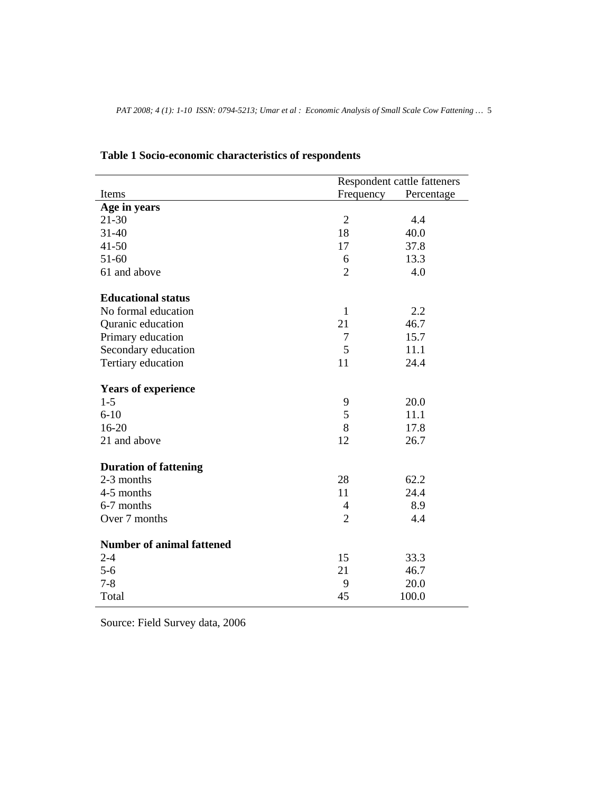|                                  |                | Respondent cattle fatteners |  |
|----------------------------------|----------------|-----------------------------|--|
| Items                            | Frequency      | Percentage                  |  |
| Age in years                     |                |                             |  |
| $21 - 30$                        | $\mathbf{2}$   | 4.4                         |  |
| $31 - 40$                        | 18             | 40.0                        |  |
| $41 - 50$                        | 17             | 37.8                        |  |
| $51 - 60$                        | 6              | 13.3                        |  |
| 61 and above                     | $\overline{2}$ | 4.0                         |  |
| <b>Educational status</b>        |                |                             |  |
| No formal education              | $\mathbf{1}$   | 2.2                         |  |
| Quranic education                | 21             | 46.7                        |  |
| Primary education                | 7              | 15.7                        |  |
| Secondary education              | 5              | 11.1                        |  |
| Tertiary education               | 11             | 24.4                        |  |
| <b>Years of experience</b>       |                |                             |  |
| $1 - 5$                          | 9              | 20.0                        |  |
| $6 - 10$                         | 5              | 11.1                        |  |
| 16-20                            | 8              | 17.8                        |  |
| 21 and above                     | 12             | 26.7                        |  |
| <b>Duration of fattening</b>     |                |                             |  |
| 2-3 months                       | 28             | 62.2                        |  |
| 4-5 months                       | 11             | 24.4                        |  |
| 6-7 months                       | $\overline{4}$ | 8.9                         |  |
| Over 7 months                    | $\overline{2}$ | 4.4                         |  |
| <b>Number of animal fattened</b> |                |                             |  |
| $2 - 4$                          | 15             | 33.3                        |  |
| $5 - 6$                          | 21             | 46.7                        |  |
| $7 - 8$                          | 9              | 20.0                        |  |
| Total                            | 45             | 100.0                       |  |

# **Table 1 Socio-economic characteristics of respondents**

Source: Field Survey data, 2006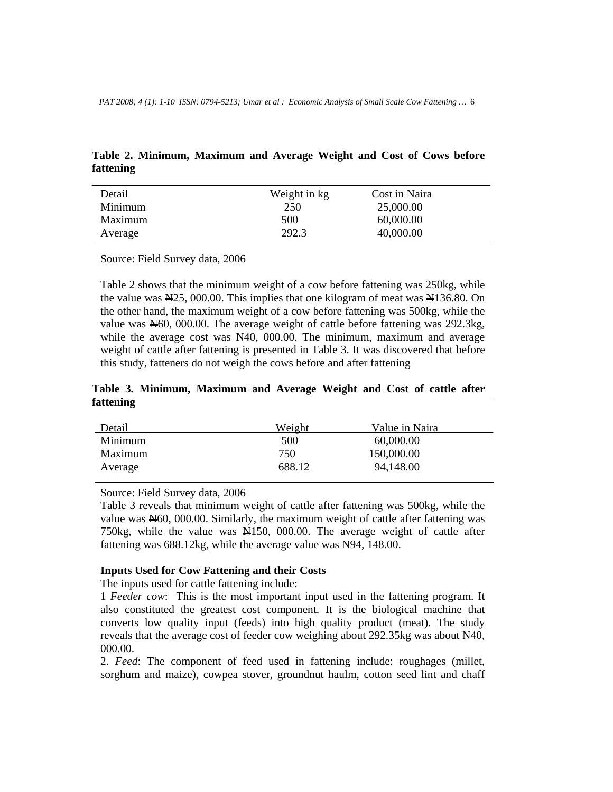| Detail  | Weight in kg | Cost in Naira |  |
|---------|--------------|---------------|--|
| Minimum | 250          | 25,000.00     |  |
| Maximum | 500          | 60,000.00     |  |
| Average | 292.3        | 40,000.00     |  |

# **Table 2. Minimum, Maximum and Average Weight and Cost of Cows before fattening**

Source: Field Survey data, 2006

Table 2 shows that the minimum weight of a cow before fattening was 250kg, while the value was  $\frac{1}{2}$ , 000.00. This implies that one kilogram of meat was  $\frac{1}{2}$ 136.80. On the other hand, the maximum weight of a cow before fattening was 500kg, while the value was  $\frac{N}{60}$ , 000.00. The average weight of cattle before fattening was 292.3kg, while the average cost was N40, 000.00. The minimum, maximum and average weight of cattle after fattening is presented in Table 3. It was discovered that before this study, fatteners do not weigh the cows before and after fattening

# **Table 3. Minimum, Maximum and Average Weight and Cost of cattle after fattening**

| Detail  | Weight | Value in Naira |
|---------|--------|----------------|
| Minimum | 500    | 60,000.00      |
| Maximum | 750    | 150,000.00     |
| Average | 688.12 | 94,148.00      |

Source: Field Survey data, 2006

Table 3 reveals that minimum weight of cattle after fattening was 500kg, while the value was  $\frac{N}{60}$ , 000.00. Similarly, the maximum weight of cattle after fattening was 750kg, while the value was N150, 000.00. The average weight of cattle after fattening was 688.12kg, while the average value was  $\frac{N}{94}$ , 148.00.

## **Inputs Used for Cow Fattening and their Costs**

The inputs used for cattle fattening include:

1 *Feeder cow*: This is the most important input used in the fattening program. It also constituted the greatest cost component. It is the biological machine that converts low quality input (feeds) into high quality product (meat). The study reveals that the average cost of feeder cow weighing about  $292.35$ kg was about  $\frac{1440}{120}$ , 000.00.

2. *Feed*: The component of feed used in fattening include: roughages (millet, sorghum and maize), cowpea stover, groundnut haulm, cotton seed lint and chaff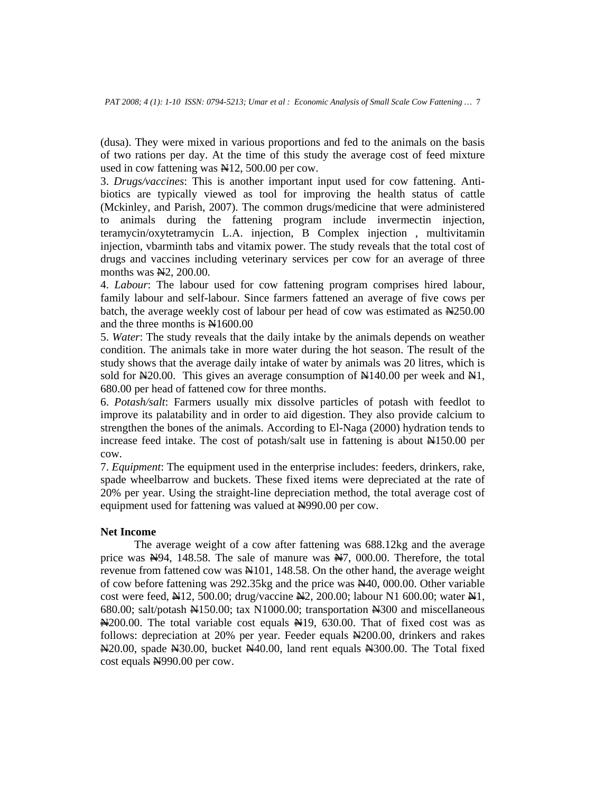(dusa). They were mixed in various proportions and fed to the animals on the basis of two rations per day. At the time of this study the average cost of feed mixture used in cow fattening was N12, 500.00 per cow.

3. *Drugs/vaccines*: This is another important input used for cow fattening. Antibiotics are typically viewed as tool for improving the health status of cattle (Mckinley, and Parish, 2007). The common drugs/medicine that were administered to animals during the fattening program include invermectin injection, teramycin/oxytetramycin L.A. injection, B Complex injection , multivitamin injection, vbarminth tabs and vitamix power. The study reveals that the total cost of drugs and vaccines including veterinary services per cow for an average of three months was  $N2$ , 200.00.

4. *Labour*: The labour used for cow fattening program comprises hired labour, family labour and self-labour. Since farmers fattened an average of five cows per batch, the average weekly cost of labour per head of cow was estimated as N250.00 and the three months is  $\mathbf{N}1600.00$ 

5. *Water*: The study reveals that the daily intake by the animals depends on weather condition. The animals take in more water during the hot season. The result of the study shows that the average daily intake of water by animals was 20 litres, which is sold for  $\text{N20.00}$ . This gives an average consumption of  $\text{N140.00}$  per week and  $\text{N1}$ , 680.00 per head of fattened cow for three months.

6. *Potash/salt*: Farmers usually mix dissolve particles of potash with feedlot to improve its palatability and in order to aid digestion. They also provide calcium to strengthen the bones of the animals. According to El-Naga (2000) hydration tends to increase feed intake. The cost of potash/salt use in fattening is about  $\text{\textsterling}150.00$  per cow.

7. *Equipment*: The equipment used in the enterprise includes: feeders, drinkers, rake, spade wheelbarrow and buckets. These fixed items were depreciated at the rate of 20% per year. Using the straight-line depreciation method, the total average cost of equipment used for fattening was valued at N4990.00 per cow.

### **Net Income**

 The average weight of a cow after fattening was 688.12kg and the average price was  $\frac{N94}{148.58}$ . The sale of manure was  $\frac{N7}{1000.00}$ . Therefore, the total revenue from fattened cow was  $\mathbb{H}[01, 148.58]$ . On the other hand, the average weight of cow before fattening was 292.35kg and the price was N40, 000.00. Other variable cost were feed,  $\frac{N}{2}$ , 500.00; drug/vaccine  $\frac{N}{2}$ , 200.00; labour N1 600.00; water  $\frac{N}{2}$ , 680.00; salt/potash N150.00; tax N1000.00; transportation N300 and miscellaneous  $\text{H200.00}$ . The total variable cost equals  $\text{H19}$ , 630.00. That of fixed cost was as follows: depreciation at 20% per year. Feeder equals N200.00, drinkers and rakes N20.00, spade N30.00, bucket N40.00, land rent equals N300.00. The Total fixed cost equals  $\angle$  N990.00 per cow.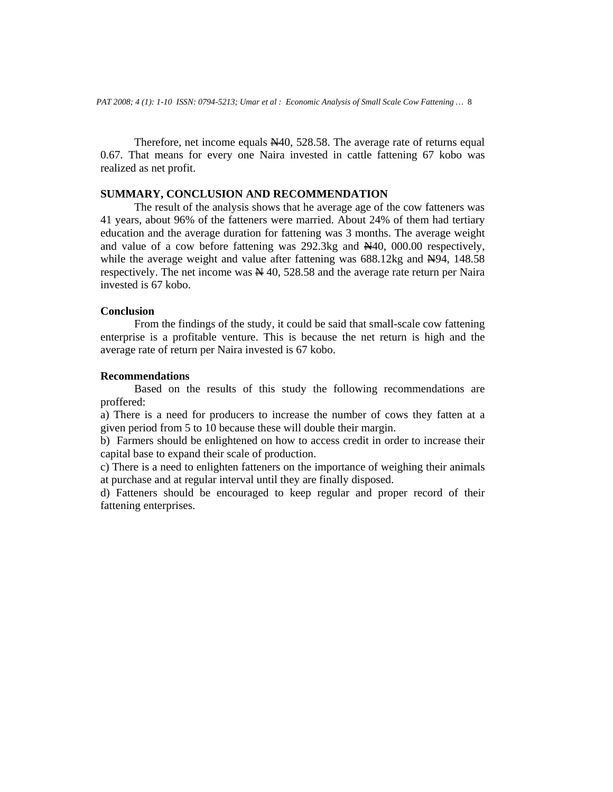Therefore, net income equals  $\mathbb{N}40$ , 528.58. The average rate of returns equal 0.67. That means for every one Naira invested in cattle fattening 67 kobo was realized as net profit.

## **SUMMARY, CONCLUSION AND RECOMMENDATION**

 The result of the analysis shows that he average age of the cow fatteners was 41 years, about 96% of the fatteners were married. About 24% of them had tertiary education and the average duration for fattening was 3 months. The average weight and value of a cow before fattening was 292.3kg and N40, 000.00 respectively, while the average weight and value after fattening was  $688.12\text{kg}$  and  $\text{N94}$ , 148.58 respectively. The net income was  $\cancel{N}$  40, 528.58 and the average rate return per Naira invested is 67 kobo.

#### **Conclusion**

 From the findings of the study, it could be said that small-scale cow fattening enterprise is a profitable venture. This is because the net return is high and the average rate of return per Naira invested is 67 kobo.

### **Recommendations**

 Based on the results of this study the following recommendations are proffered:

a) There is a need for producers to increase the number of cows they fatten at a given period from 5 to 10 because these will double their margin.

b) Farmers should be enlightened on how to access credit in order to increase their capital base to expand their scale of production.

c) There is a need to enlighten fatteners on the importance of weighing their animals at purchase and at regular interval until they are finally disposed.

d) Fatteners should be encouraged to keep regular and proper record of their fattening enterprises.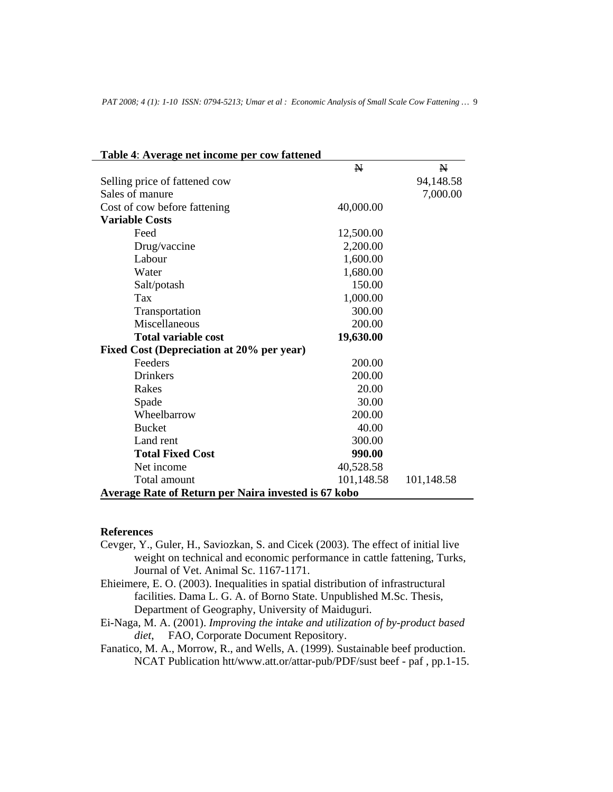| <u>Table 4: Average net income per cow fattened</u>  |              |              |  |  |
|------------------------------------------------------|--------------|--------------|--|--|
|                                                      | $\mathbf{N}$ | $\mathbf{N}$ |  |  |
| Selling price of fattened cow                        |              | 94,148.58    |  |  |
| Sales of manure                                      |              | 7,000.00     |  |  |
| Cost of cow before fattening                         | 40,000.00    |              |  |  |
| <b>Variable Costs</b>                                |              |              |  |  |
| Feed                                                 | 12,500.00    |              |  |  |
| Drug/vaccine                                         | 2,200.00     |              |  |  |
| Labour                                               | 1,600.00     |              |  |  |
| Water                                                | 1,680.00     |              |  |  |
| Salt/potash                                          | 150.00       |              |  |  |
| Tax                                                  | 1,000.00     |              |  |  |
| Transportation                                       | 300.00       |              |  |  |
| Miscellaneous                                        | 200.00       |              |  |  |
| <b>Total variable cost</b>                           | 19,630.00    |              |  |  |
| Fixed Cost (Depreciation at 20% per year)            |              |              |  |  |
| Feeders                                              | 200.00       |              |  |  |
| <b>Drinkers</b>                                      | 200.00       |              |  |  |
| Rakes                                                | 20.00        |              |  |  |
| Spade                                                | 30.00        |              |  |  |
| Wheelbarrow                                          | 200.00       |              |  |  |
| <b>Bucket</b>                                        | 40.00        |              |  |  |
| Land rent                                            | 300.00       |              |  |  |
| <b>Total Fixed Cost</b>                              | 990.00       |              |  |  |
| Net income                                           | 40,528.58    |              |  |  |
| Total amount                                         | 101,148.58   | 101,148.58   |  |  |
| Average Rate of Return per Naira invested is 67 kobo |              |              |  |  |

### **References**

- Cevger, Y., Guler, H., Saviozkan, S. and Cicek (2003). The effect of initial live weight on technical and economic performance in cattle fattening, Turks, Journal of Vet. Animal Sc. 1167-1171.
- Ehieimere, E. O. (2003). Inequalities in spatial distribution of infrastructural facilities. Dama L. G. A. of Borno State. Unpublished M.Sc. Thesis, Department of Geography, University of Maiduguri.
- Ei-Naga, M. A. (2001). *Improving the intake and utilization of by-product based diet*, FAO, Corporate Document Repository.
- Fanatico, M. A., Morrow, R., and Wells, A. (1999). Sustainable beef production. NCAT Publication htt/www.att.or/attar-pub/PDF/sust beef - paf , pp.1-15.